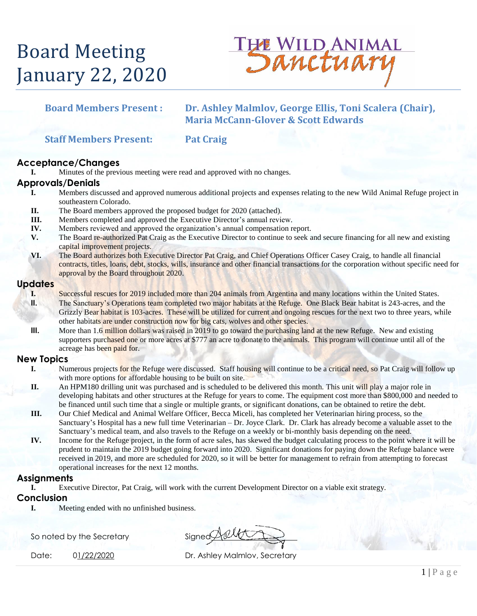# Board Meeting January 22, 2020



### **Board Members Present : Dr. Ashley Malmlov, George Ellis, Toni Scalera (Chair), Maria McCann-Glover & Scott Edwards**

**Staff Members Present: Pat Craig**

#### **Acceptance/Changes**

**I.** Minutes of the previous meeting were read and approved with no changes.

#### **Approvals/Denials**

- **I.** Members discussed and approved numerous additional projects and expenses relating to the new Wild Animal Refuge project in southeastern Colorado.
	- **II.** The Board members approved the proposed budget for 2020 (attached).
- **III.** Members completed and approved the Executive Director's annual review.
- **IV.** Members reviewed and approved the organization's annual compensation report.
- **V.** The Board re-authorized Pat Craig as the Executive Director to continue to seek and secure financing for all new and existing capital improvement projects.
- **VI.** The Board authorizes both Executive Director Pat Craig, and Chief Operations Officer Casey Craig, to handle all financial contracts, titles, loans, debt, stocks, wills, insurance and other financial transactions for the corporation without specific need for approval by the Board throughout 2020.

#### **Updates**

- **I.** Successful rescues for 2019 included more than 204 animals from Argentina and many locations within the United States. **II.** The Sanctuary's Operations team completed two major habitats at the Refuge. One Black Bear habitat is 243-acres, and the Grizzly Bear habitat is 103-acres. These will be utilized for current and ongoing rescues for the next two to three years, while other habitats are under construction now for big cats, wolves and other species.
- **III.** More than 1.6 million dollars was raised in 2019 to go toward the purchasing land at the new Refuge. New and existing supporters purchased one or more acres at \$777 an acre to donate to the animals. This program will continue until all of the acreage has been paid for.

#### **New Topics**

- **I.** Numerous projects for the Refuge were discussed. Staff housing will continue to be a critical need, so Pat Craig will follow up with more options for affordable housing to be built on site.
- **II.** An HPM180 drilling unit was purchased and is scheduled to be delivered this month. This unit will play a major role in developing habitats and other structures at the Refuge for years to come. The equipment cost more than \$800,000 and needed to be financed until such time that a single or multiple grants, or significant donations, can be obtained to retire the debt.
- **III.** Our Chief Medical and Animal Welfare Officer, Becca Miceli, has completed her Veterinarian hiring process, so the Sanctuary's Hospital has a new full time Veterinarian – Dr. Joyce Clark. Dr. Clark has already become a valuable asset to the Sanctuary's medical team, and also travels to the Refuge on a weekly or bi-monthly basis depending on the need.
- **IV.** Income for the Refuge project, in the form of acre sales, has skewed the budget calculating process to the point where it will be prudent to maintain the 2019 budget going forward into 2020. Significant donations for paying down the Refuge balance were received in 2019, and more are scheduled for 2020, so it will be better for management to refrain from attempting to forecast operational increases for the next 12 months.

#### **Assignments**

**I.** Executive Director, Pat Craig, will work with the current Development Director on a viable exit strategy.

#### **Conclusion**

**I.** Meeting ended with no unfinished business.

So noted by the Secretary Signed State State

Date: 01/22/2020 Dr. Ashley Malmlov, Secretary